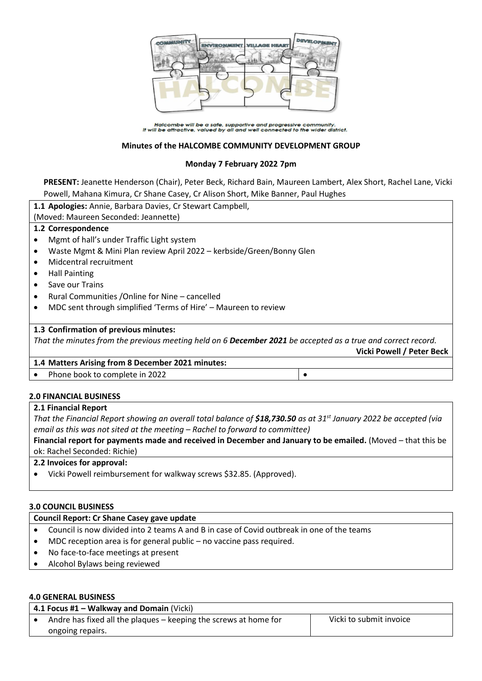

Halcombe will be a safe, supportive and progressive community.<br>It will be attractive, valued by all and well connected to the wider district.

### **Minutes of the HALCOMBE COMMUNITY DEVELOPMENT GROUP**

### **Monday 7 February 2022 7pm**

**PRESENT:** Jeanette Henderson (Chair), Peter Beck, Richard Bain, Maureen Lambert, Alex Short, Rachel Lane, Vicki Powell, Mahana Kimura, Cr Shane Casey, Cr Alison Short, Mike Banner, Paul Hughes

|           | 1.1 Apologies: Annie, Barbara Davies, Cr Stewart Campbell,                                                   |  |  |
|-----------|--------------------------------------------------------------------------------------------------------------|--|--|
|           | (Moved: Maureen Seconded: Jeannette)                                                                         |  |  |
|           | 1.2 Correspondence                                                                                           |  |  |
|           | Mgmt of hall's under Traffic Light system                                                                    |  |  |
|           | Waste Mgmt & Mini Plan review April 2022 - kerbside/Green/Bonny Glen                                         |  |  |
| $\bullet$ | Midcentral recruitment                                                                                       |  |  |
| ٠         | <b>Hall Painting</b>                                                                                         |  |  |
| $\bullet$ | Save our Trains                                                                                              |  |  |
| ٠         | Rural Communities / Online for Nine - cancelled                                                              |  |  |
|           | MDC sent through simplified 'Terms of Hire' - Maureen to review                                              |  |  |
|           |                                                                                                              |  |  |
|           | 1.3 Confirmation of previous minutes:                                                                        |  |  |
|           | That the minutes from the previous meeting held on 6 December 2021 be accepted as a true and correct record. |  |  |
|           | Vicki Powell / Peter Beck                                                                                    |  |  |
|           | 1.4 Matters Arising from 8 December 2021 minutes:                                                            |  |  |
|           | Phone book to complete in 2022                                                                               |  |  |
|           |                                                                                                              |  |  |

# **2.0 FINANCIAL BUSINESS**

## **2.1 Financial Report**

*That the Financial Report showing an overall total balance of \$18,730.50 as at 31st January 2022 be accepted (via email as this was not sited at the meeting – Rachel to forward to committee)*

**Financial report for payments made and received in December and January to be emailed.** (Moved – that this be ok: Rachel Seconded: Richie)

#### **2.2 Invoices for approval:**

Vicki Powell reimbursement for walkway screws \$32.85. (Approved).

#### **3.0 COUNCIL BUSINESS**

# **Council Report: Cr Shane Casey gave update**

- Council is now divided into 2 teams A and B in case of Covid outbreak in one of the teams
- MDC reception area is for general public no vaccine pass required.
- No face-to-face meetings at present
- Alcohol Bylaws being reviewed

#### **4.0 GENERAL BUSINESS**

| 4.1 Focus #1 – Walkway and Domain (Vicki) |                                                                  |                         |  |
|-------------------------------------------|------------------------------------------------------------------|-------------------------|--|
|                                           | Andre has fixed all the plaques – keeping the screws at home for | Vicki to submit invoice |  |
|                                           | ongoing repairs.                                                 |                         |  |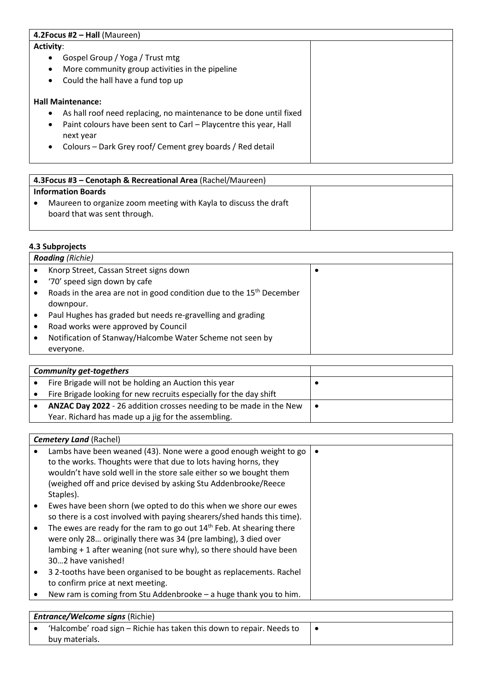| 4.2 Focus #2 $-$ Hall (Maureen)                                                 |  |  |
|---------------------------------------------------------------------------------|--|--|
| <b>Activity:</b>                                                                |  |  |
| Gospel Group / Yoga / Trust mtg<br>$\bullet$                                    |  |  |
| More community group activities in the pipeline<br>$\bullet$                    |  |  |
| Could the hall have a fund top up<br>$\bullet$                                  |  |  |
|                                                                                 |  |  |
| <b>Hall Maintenance:</b>                                                        |  |  |
| As hall roof need replacing, no maintenance to be done until fixed<br>$\bullet$ |  |  |
| Paint colours have been sent to Carl - Playcentre this year, Hall<br>$\bullet$  |  |  |
| next year                                                                       |  |  |
| Colours – Dark Grey roof/ Cement grey boards / Red detail<br>$\bullet$          |  |  |
|                                                                                 |  |  |

| 4.3 Focus #3 – Cenotaph & Recreational Area (Rachel/Maureen)                                     |  |  |
|--------------------------------------------------------------------------------------------------|--|--|
| <b>Information Boards</b>                                                                        |  |  |
| Maureen to organize zoom meeting with Kayla to discuss the draft<br>board that was sent through. |  |  |

## **4.3 Subprojects**

| <b>Roading</b> (Richie) |                                                                                  |  |
|-------------------------|----------------------------------------------------------------------------------|--|
|                         | Knorp Street, Cassan Street signs down                                           |  |
|                         | '70' speed sign down by cafe                                                     |  |
|                         | Roads in the area are not in good condition due to the 15 <sup>th</sup> December |  |
|                         | downpour.                                                                        |  |
|                         | Paul Hughes has graded but needs re-gravelling and grading                       |  |
|                         | Road works were approved by Council                                              |  |
|                         | Notification of Stanway/Halcombe Water Scheme not seen by                        |  |
|                         | everyone.                                                                        |  |

| <b>Community get-togethers</b> |                                                                    |  |
|--------------------------------|--------------------------------------------------------------------|--|
|                                | Fire Brigade will not be holding an Auction this year              |  |
|                                | Fire Brigade looking for new recruits especially for the day shift |  |
|                                | ANZAC Day 2022 - 26 addition crosses needing to be made in the New |  |
|                                | Year. Richard has made up a jig for the assembling.                |  |

## *Cemetery Land (Rachel)*  Lambs have been weaned (43). None were a good enough weight to go to the works. Thoughts were that due to lots having horns, they wouldn't have sold well in the store sale either so we bought them (weighed off and price devised by asking Stu Addenbrooke/Reece Staples). Ewes have been shorn (we opted to do this when we shore our ewes so there is a cost involved with paying shearers/shed hands this time).  $\bullet$  The ewes are ready for the ram to go out 14<sup>th</sup> Feb. At shearing there were only 28… originally there was 34 (pre lambing), 3 died over lambing + 1 after weaning (not sure why), so there should have been 30…2 have vanished! • 3 2-tooths have been organised to be bought as replacements. Rachel to confirm price at next meeting. New ram is coming from Stu Addenbrooke – a huge thank you to him.  $\bullet$

| <b>Entrance/Welcome signs (Richie)</b> |                                                                       |  |
|----------------------------------------|-----------------------------------------------------------------------|--|
|                                        | 'Halcombe' road sign – Richie has taken this down to repair. Needs to |  |
|                                        | buy materials.                                                        |  |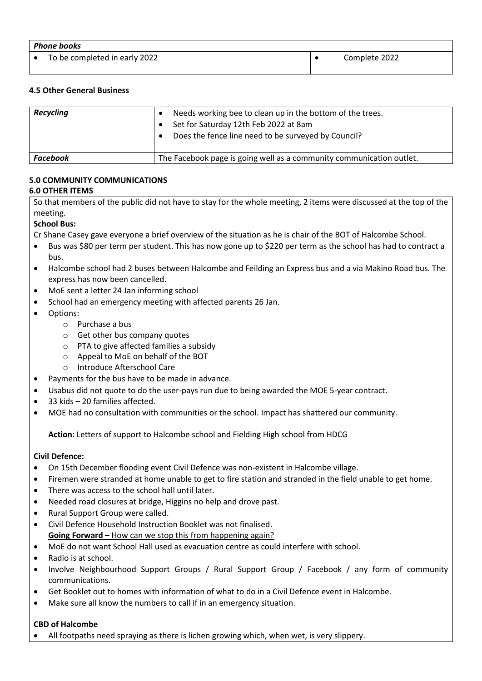| <b>Phone books</b> |                               |  |               |
|--------------------|-------------------------------|--|---------------|
|                    | To be completed in early 2022 |  | Complete 2022 |

## **4.5 Other General Business**

| <b>Recycling</b> | Needs working bee to clean up in the bottom of the trees.<br>Set for Saturday 12th Feb 2022 at 8am<br>Does the fence line need to be surveyed by Council? |  |
|------------------|-----------------------------------------------------------------------------------------------------------------------------------------------------------|--|
| Facebook         | The Facebook page is going well as a community communication outlet.                                                                                      |  |

# **5.0 COMMUNITY COMMUNICATIONS**

## **6.0 OTHER ITEMS**

So that members of the public did not have to stay for the whole meeting, 2 items were discussed at the top of the meeting.

## **School Bus:**

Cr Shane Casey gave everyone a brief overview of the situation as he is chair of the BOT of Halcombe School.

- Bus was \$80 per term per student. This has now gone up to \$220 per term as the school has had to contract a bus.
- Halcombe school had 2 buses between Halcombe and Feilding an Express bus and a via Makino Road bus. The express has now been cancelled.
- MoE sent a letter 24 Jan informing school
- School had an emergency meeting with affected parents 26 Jan.
- Options:
	- o Purchase a bus
	- o Get other bus company quotes
	- o PTA to give affected families a subsidy
	- o Appeal to MoE on behalf of the BOT
	- o Introduce Afterschool Care
- Payments for the bus have to be made in advance.
- Usabus did not quote to do the user-pays run due to being awarded the MOE 5-year contract.
- 33 kids 20 families affected.
- MOE had no consultation with communities or the school. Impact has shattered our community.

**Action**: Letters of support to Halcombe school and Fielding High school from HDCG

#### **Civil Defence:**

- On 15th December flooding event Civil Defence was non-existent in Halcombe village.
- Firemen were stranded at home unable to get to fire station and stranded in the field unable to get home.
- There was access to the school hall until later.
- Needed road closures at bridge, Higgins no help and drove past.
- Rural Support Group were called.
- Civil Defence Household Instruction Booklet was not finalised. **Going Forward** – How can we stop this from happening again?
- MoE do not want School Hall used as evacuation centre as could interfere with school.
- Radio is at school.
- Involve Neighbourhood Support Groups / Rural Support Group / Facebook / any form of community communications.
- Get Booklet out to homes with information of what to do in a Civil Defence event in Halcombe.
- Make sure all know the numbers to call if in an emergency situation.

#### **CBD of Halcombe**

All footpaths need spraying as there is lichen growing which, when wet, is very slippery.